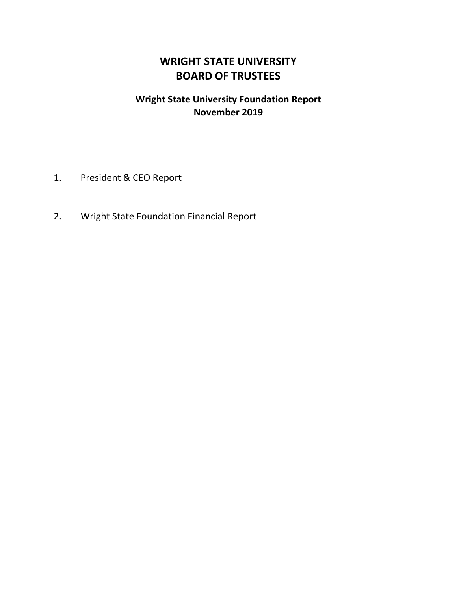# **WRIGHT STATE UNIVERSITY BOARD OF TRUSTEES**

# **Wright State University Foundation Report November 2019**

- 1. President & CEO Report
- 2. Wright State Foundation Financial Report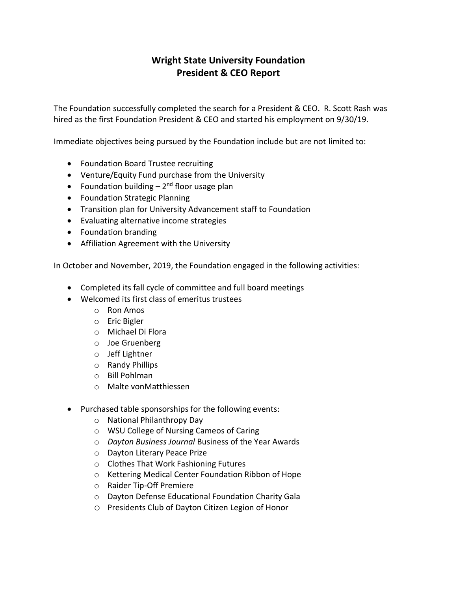## **Wright State University Foundation President & CEO Report**

The Foundation successfully completed the search for a President & CEO. R. Scott Rash was hired as the first Foundation President & CEO and started his employment on 9/30/19.

Immediate objectives being pursued by the Foundation include but are not limited to:

- Foundation Board Trustee recruiting
- Venture/Equity Fund purchase from the University
- Foundation building 2<sup>nd</sup> floor usage plan
- Foundation Strategic Planning
- Transition plan for University Advancement staff to Foundation
- Evaluating alternative income strategies
- Foundation branding
- Affiliation Agreement with the University

In October and November, 2019, the Foundation engaged in the following activities:

- Completed its fall cycle of committee and full board meetings
- Welcomed its first class of emeritus trustees
	- o Ron Amos
	- o Eric Bigler
	- o Michael Di Flora
	- o Joe Gruenberg
	- o Jeff Lightner
	- o Randy Phillips
	- o Bill Pohlman
	- o Malte vonMatthiessen
- Purchased table sponsorships for the following events:
	- o National Philanthropy Day
	- o WSU College of Nursing Cameos of Caring
	- o *Dayton Business Journal* Business of the Year Awards
	- o Dayton Literary Peace Prize
	- o Clothes That Work Fashioning Futures
	- o Kettering Medical Center Foundation Ribbon of Hope
	- o Raider Tip-Off Premiere
	- o Dayton Defense Educational Foundation Charity Gala
	- o Presidents Club of Dayton Citizen Legion of Honor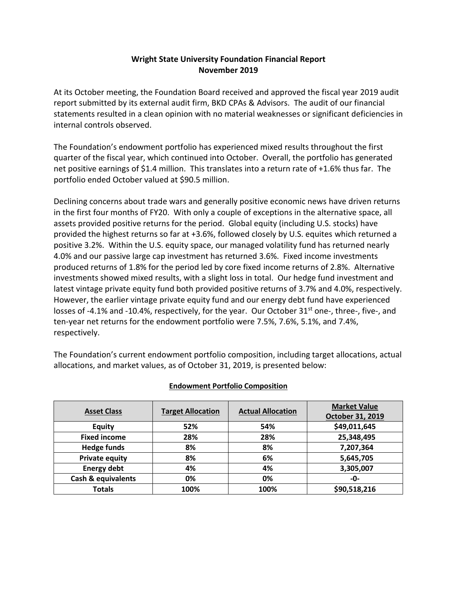### **Wright State University Foundation Financial Report November 2019**

At its October meeting, the Foundation Board received and approved the fiscal year 2019 audit report submitted by its external audit firm, BKD CPAs & Advisors. The audit of our financial statements resulted in a clean opinion with no material weaknesses or significant deficiencies in internal controls observed.

The Foundation's endowment portfolio has experienced mixed results throughout the first quarter of the fiscal year, which continued into October. Overall, the portfolio has generated net positive earnings of \$1.4 million. This translates into a return rate of +1.6% thus far. The portfolio ended October valued at \$90.5 million.

Declining concerns about trade wars and generally positive economic news have driven returns in the first four months of FY20. With only a couple of exceptions in the alternative space, all assets provided positive returns for the period. Global equity (including U.S. stocks) have provided the highest returns so far at +3.6%, followed closely by U.S. equites which returned a positive 3.2%. Within the U.S. equity space, our managed volatility fund has returned nearly 4.0% and our passive large cap investment has returned 3.6%. Fixed income investments produced returns of 1.8% for the period led by core fixed income returns of 2.8%. Alternative investments showed mixed results, with a slight loss in total. Our hedge fund investment and latest vintage private equity fund both provided positive returns of 3.7% and 4.0%, respectively. However, the earlier vintage private equity fund and our energy debt fund have experienced losses of -4.1% and -10.4%, respectively, for the year. Our October 31<sup>st</sup> one-, three-, five-, and ten-year net returns for the endowment portfolio were 7.5%, 7.6%, 5.1%, and 7.4%, respectively.

The Foundation's current endowment portfolio composition, including target allocations, actual allocations, and market values, as of October 31, 2019, is presented below:

| <b>Asset Class</b>    | <b>Target Allocation</b> | <b>Actual Allocation</b> | <b>Market Value</b><br>October 31, 2019 |
|-----------------------|--------------------------|--------------------------|-----------------------------------------|
| <b>Equity</b>         | 52%                      | 54%                      | \$49,011,645                            |
| <b>Fixed income</b>   | 28%                      | 28%                      | 25,348,495                              |
| <b>Hedge funds</b>    | 8%                       | 8%                       | 7,207,364                               |
| <b>Private equity</b> | 8%                       | 6%                       | 5,645,705                               |
| <b>Energy debt</b>    | 4%                       | 4%                       | 3,305,007                               |
| Cash & equivalents    | 0%                       | 0%                       | -0-                                     |
| <b>Totals</b>         | 100%                     | 100%                     | \$90,518,216                            |

### **Endowment Portfolio Composition**